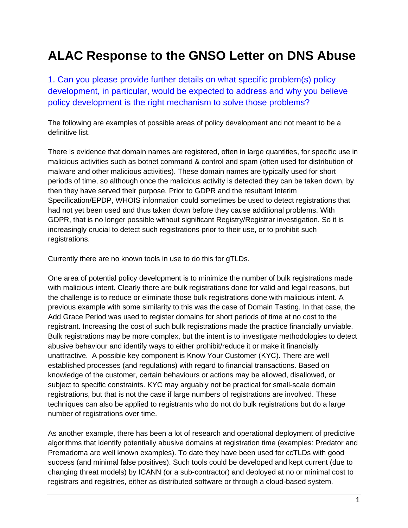## **ALAC Response to the GNSO Letter on DNS Abuse**

1. Can you please provide further details on what specific problem(s) policy development, in particular, would be expected to address and why you believe policy development is the right mechanism to solve those problems?

The following are examples of possible areas of policy development and not meant to be a definitive list.

There is evidence that domain names are registered, often in large quantities, for specific use in malicious activities such as botnet command & control and spam (often used for distribution of malware and other malicious activities). These domain names are typically used for short periods of time, so although once the malicious activity is detected they can be taken down, by then they have served their purpose. Prior to GDPR and the resultant Interim Specification/EPDP, WHOIS information could sometimes be used to detect registrations that had not yet been used and thus taken down before they cause additional problems. With GDPR, that is no longer possible without significant Registry/Registrar investigation. So it is increasingly crucial to detect such registrations prior to their use, or to prohibit such registrations.

Currently there are no known tools in use to do this for gTLDs.

One area of potential policy development is to minimize the number of bulk registrations made with malicious intent. Clearly there are bulk registrations done for valid and legal reasons, but the challenge is to reduce or eliminate those bulk registrations done with malicious intent. A previous example with some similarity to this was the case of Domain Tasting. In that case, the Add Grace Period was used to register domains for short periods of time at no cost to the registrant. Increasing the cost of such bulk registrations made the practice financially unviable. Bulk registrations may be more complex, but the intent is to investigate methodologies to detect abusive behaviour and identify ways to either prohibit/reduce it or make it financially unattractive. A possible key component is Know Your Customer (KYC). There are well established processes (and regulations) with regard to financial transactions. Based on knowledge of the customer, certain behaviours or actions may be allowed, disallowed, or subject to specific constraints. KYC may arguably not be practical for small-scale domain registrations, but that is not the case if large numbers of registrations are involved. These techniques can also be applied to registrants who do not do bulk registrations but do a large number of registrations over time.

As another example, there has been a lot of research and operational deployment of predictive algorithms that identify potentially abusive domains at registration time (examples: Predator and Premadoma are well known examples). To date they have been used for ccTLDs with good success (and minimal false positives). Such tools could be developed and kept current (due to changing threat models) by ICANN (or a sub-contractor) and deployed at no or minimal cost to registrars and registries, either as distributed software or through a cloud-based system.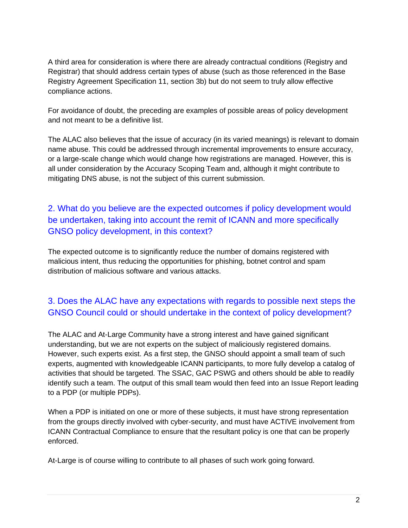A third area for consideration is where there are already contractual conditions (Registry and Registrar) that should address certain types of abuse (such as those referenced in the Base Registry Agreement Specification 11, section 3b) but do not seem to truly allow effective compliance actions.

For avoidance of doubt, the preceding are examples of possible areas of policy development and not meant to be a definitive list.

The ALAC also believes that the issue of accuracy (in its varied meanings) is relevant to domain name abuse. This could be addressed through incremental improvements to ensure accuracy, or a large-scale change which would change how registrations are managed. However, this is all under consideration by the Accuracy Scoping Team and, although it might contribute to mitigating DNS abuse, is not the subject of this current submission.

## 2. What do you believe are the expected outcomes if policy development would be undertaken, taking into account the remit of ICANN and more specifically GNSO policy development, in this context?

The expected outcome is to significantly reduce the number of domains registered with malicious intent, thus reducing the opportunities for phishing, botnet control and spam distribution of malicious software and various attacks.

## 3. Does the ALAC have any expectations with regards to possible next steps the GNSO Council could or should undertake in the context of policy development?

The ALAC and At-Large Community have a strong interest and have gained significant understanding, but we are not experts on the subject of maliciously registered domains. However, such experts exist. As a first step, the GNSO should appoint a small team of such experts, augmented with knowledgeable ICANN participants, to more fully develop a catalog of activities that should be targeted. The SSAC, GAC PSWG and others should be able to readily identify such a team. The output of this small team would then feed into an Issue Report leading to a PDP (or multiple PDPs).

When a PDP is initiated on one or more of these subjects, it must have strong representation from the groups directly involved with cyber-security, and must have ACTIVE involvement from ICANN Contractual Compliance to ensure that the resultant policy is one that can be properly enforced.

At-Large is of course willing to contribute to all phases of such work going forward.